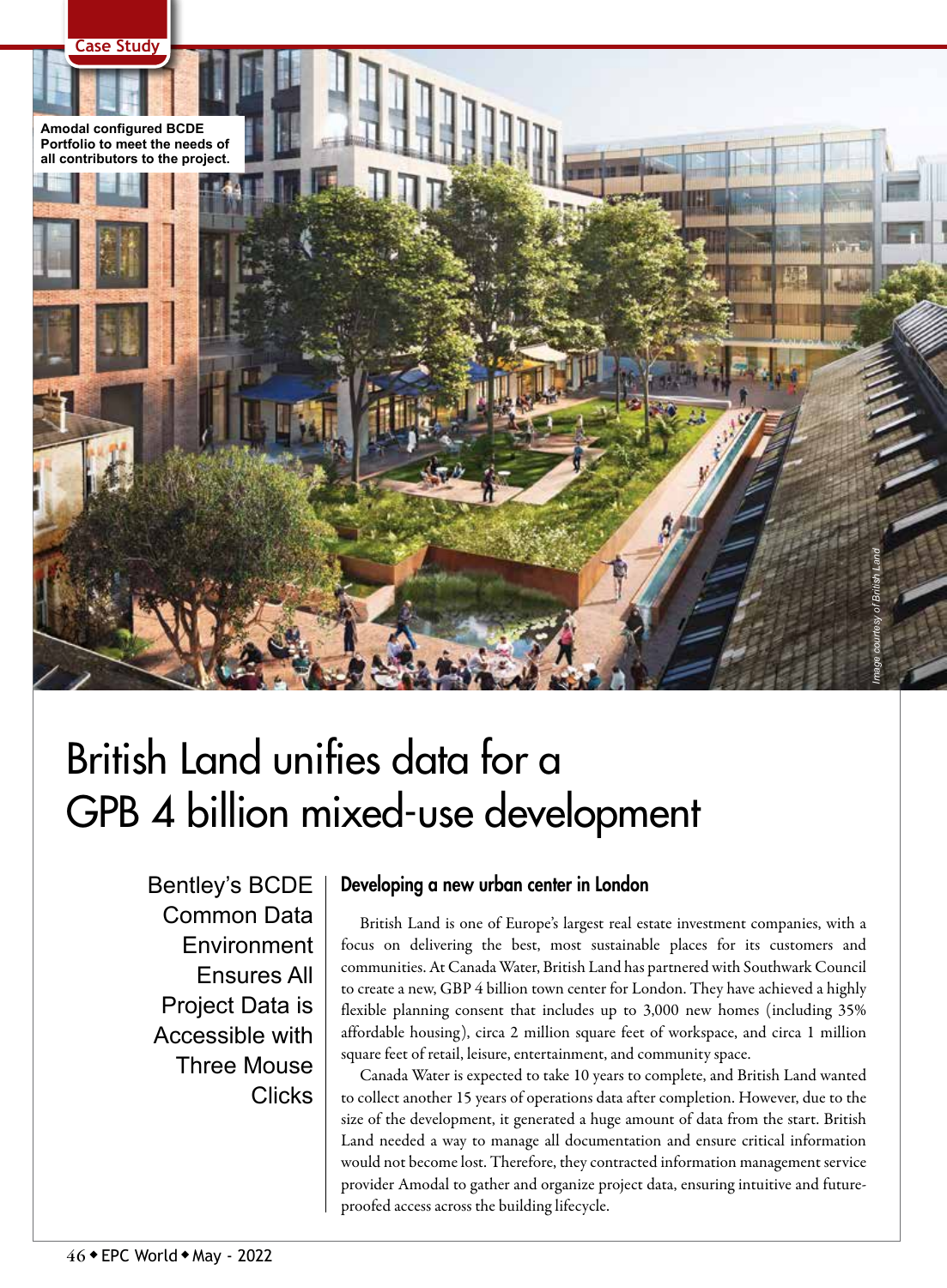

# British Land unifies data for a GPB 4 billion mixed-use development

Bentley's BCDE Common Data **Environment** Ensures All Project Data is Accessible with Three Mouse **Clicks** 

# Developing a new urban center in London

British Land is one of Europe's largest real estate investment companies, with a focus on delivering the best, most sustainable places for its customers and communities. At Canada Water, British Land has partnered with Southwark Council to create a new, GBP 4 billion town center for London. They have achieved a highly flexible planning consent that includes up to 3,000 new homes (including 35% affordable housing), circa 2 million square feet of workspace, and circa 1 million square feet of retail, leisure, entertainment, and community space.

Canada Water is expected to take 10 years to complete, and British Land wanted to collect another 15 years of operations data after completion. However, due to the size of the development, it generated a huge amount of data from the start. British Land needed a way to manage all documentation and ensure critical information would not become lost. Therefore, they contracted information management service provider Amodal to gather and organize project data, ensuring intuitive and futureproofed access across the building lifecycle.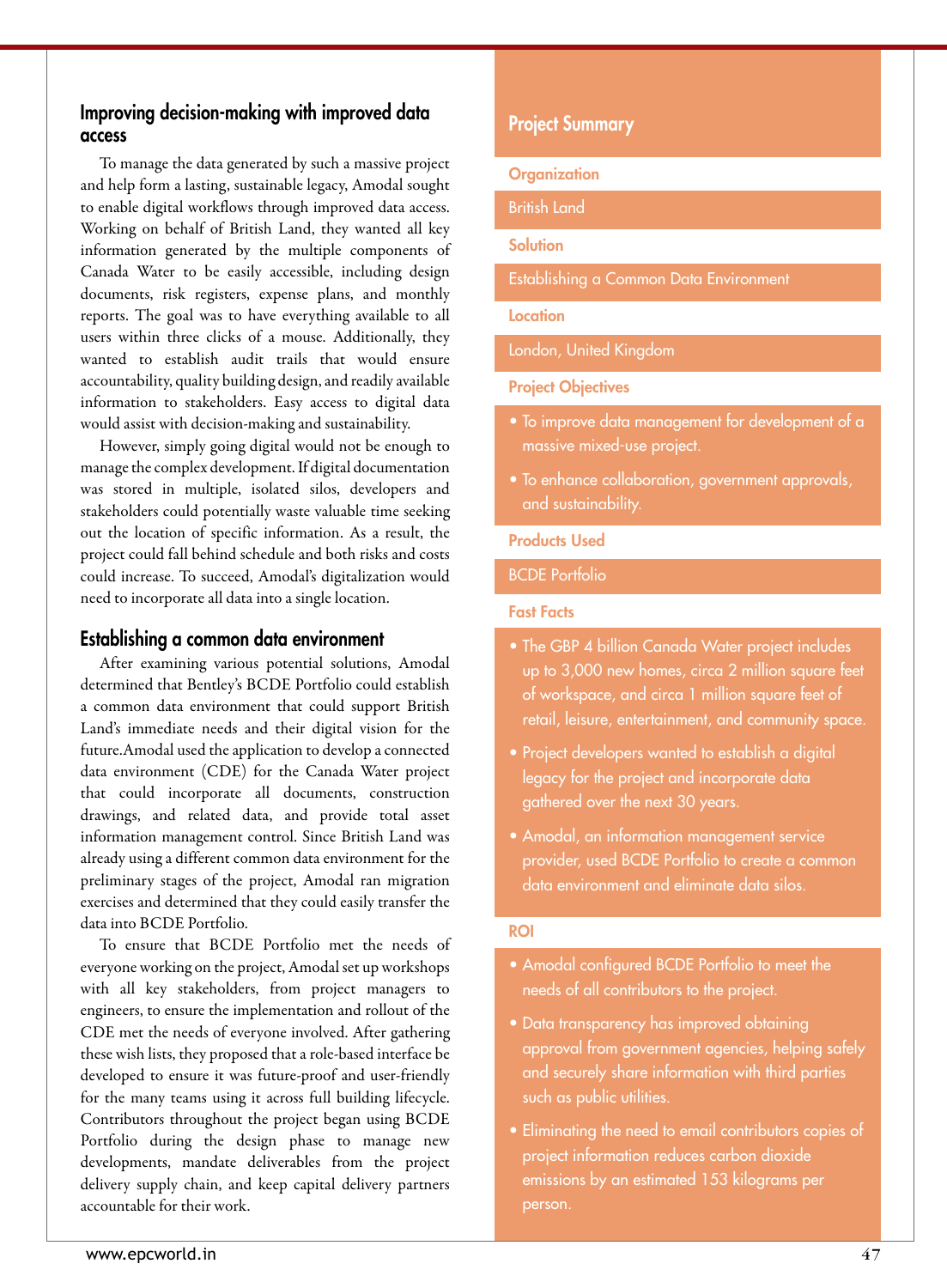# Improving decision-making with improved data access

To manage the data generated by such a massive project and help form a lasting, sustainable legacy, Amodal sought to enable digital workflows through improved data access. Working on behalf of British Land, they wanted all key information generated by the multiple components of Canada Water to be easily accessible, including design documents, risk registers, expense plans, and monthly reports. The goal was to have everything available to all users within three clicks of a mouse. Additionally, they wanted to establish audit trails that would ensure accountability, quality building design, and readily available information to stakeholders. Easy access to digital data would assist with decision-making and sustainability.

However, simply going digital would not be enough to manage the complex development. If digital documentation was stored in multiple, isolated silos, developers and stakeholders could potentially waste valuable time seeking out the location of specific information. As a result, the project could fall behind schedule and both risks and costs could increase. To succeed, Amodal's digitalization would need to incorporate all data into a single location.

## Establishing a common data environment

After examining various potential solutions, Amodal determined that Bentley's BCDE Portfolio could establish a common data environment that could support British Land's immediate needs and their digital vision for the future.Amodal used the application to develop a connected data environment (CDE) for the Canada Water project that could incorporate all documents, construction drawings, and related data, and provide total asset information management control. Since British Land was already using a different common data environment for the preliminary stages of the project, Amodal ran migration exercises and determined that they could easily transfer the data into BCDE Portfolio.

To ensure that BCDE Portfolio met the needs of everyone working on the project, Amodal set up workshops with all key stakeholders, from project managers to engineers, to ensure the implementation and rollout of the CDE met the needs of everyone involved. After gathering these wish lists, they proposed that a role-based interface be developed to ensure it was future-proof and user-friendly for the many teams using it across full building lifecycle. Contributors throughout the project began using BCDE Portfolio during the design phase to manage new developments, mandate deliverables from the project delivery supply chain, and keep capital delivery partners accountable for their work.

## Project Summary

#### **Organization**

British Land

Solution

Establishing a Common Data Environment

#### **Location**

London, United Kingdom

#### Project Objectives

- To improve data management for development of a massive mixed-use project.
- To enhance collaboration, government approvals, and sustainability.

#### Products Used

## BCDE Portfolio

#### Fast Facts

- The GBP 4 billion Canada Water project includes up to 3,000 new homes, circa 2 million square feet of workspace, and circa 1 million square feet of retail, leisure, entertainment, and community space.
- Project developers wanted to establish a digital legacy for the project and incorporate data gathered over the next 30 years.
- Amodal, an information management service provider, used BCDE Portfolio to create a common data environment and eliminate data silos.

#### ROI

- Amodal configured BCDE Portfolio to meet the needs of all contributors to the project.
- Data transparency has improved obtaining approval from government agencies, helping safely and securely share information with third parties such as public utilities.
- Eliminating the need to email contributors copies of project information reduces carbon dioxide emissions by an estimated 153 kilograms per person.